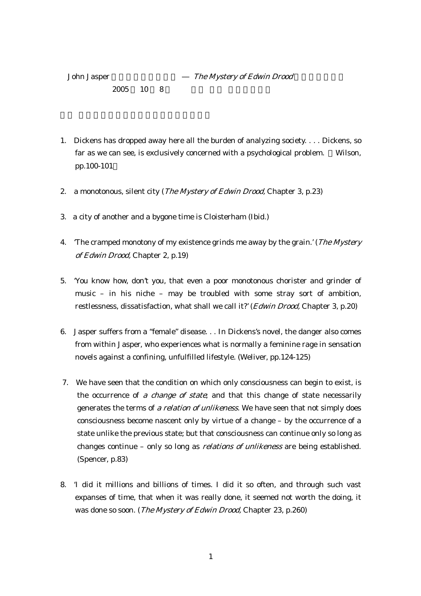- $2005$  10 8
- 1. Dickens has dropped away here all the burden of analyzing society. . . . Dickens, so far as we can see, is exclusively concerned with a psychological problem. Wilson, pp.100-101
- 2. a monotonous, silent city (*The Mystery of Edwin Drood*, Chapter 3, p.23)
- 3. a city of another and a bygone time is Cloisterham (Ibid.)
- 4. The cramped monotony of my existence grinds me away by the grain.' (*The Mystery* of Edwin Drood, Chapter 2, p.19)
- 5. 'You know how, don't you, that even a poor monotonous chorister and grinder of music – in his niche – may be troubled with some stray sort of ambition, restlessness, dissatisfaction, what shall we call it?' (*Edwin Drood*, Chapter 3, p.20)
- 6. Jasper suffers from a "female" disease. . . In Dickens's novel, the danger also comes from within Jasper, who experiences what is normally a feminine rage in sensation novels against a confining, unfulfilled lifestyle. (Weliver, pp.124-125)
- 7. We have seen that the condition on which only consciousness can begin to exist, is the occurrence of a change of state; and that this change of state necessarily generates the terms of a relation of unlikeness. We have seen that not simply does consciousness become nascent only by virtue of a change – by the occurrence of a state unlike the previous state; but that consciousness can continue only so long as changes continue – only so long as relations of unlikeness are being established. (Spencer, p.83)
- 8. 'I did it millions and billions of times. I did it so often, and through such vast expanses of time, that when it was really done, it seemed not worth the doing, it was done so soon. (The Mystery of Edwin Drood, Chapter 23, p.260)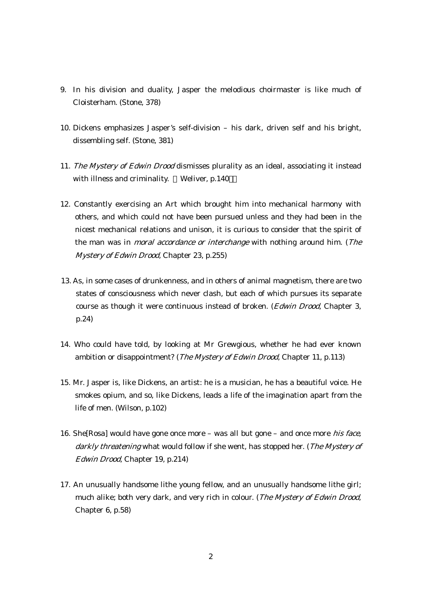- 9. In his division and duality, Jasper the melodious choirmaster is like much of Cloisterham. (Stone, 378)
- 10. Dickens emphasizes Jasper's self-division his dark, driven self and his bright, dissembling self. (Stone, 381)
- 11. The Mystery of Edwin Drood dismisses plurality as an ideal, associating it instead with illness and criminality. Weliver, p.140
- 12. Constantly exercising an Art which brought him into mechanical harmony with others, and which could not have been pursued unless and they had been in the nicest mechanical relations and unison, it is curious to consider that the spirit of the man was in moral accordance or interchange with nothing around him. (The Mystery of Edwin Drood, Chapter 23, p.255)
- 13. As, in some cases of drunkenness, and in others of animal magnetism, there are two states of consciousness which never clash, but each of which pursues its separate course as though it were continuous instead of broken. (*Edwin Drood*, Chapter 3, p.24)
- 14. Who could have told, by looking at Mr Grewgious, whether he had ever known ambition or disappointment? (*The Mystery of Edwin Drood*, Chapter 11, p.113)
- 15. Mr. Jasper is, like Dickens, an artist: he is a musician, he has a beautiful voice. He smokes opium, and so, like Dickens, leads a life of the imagination apart from the life of men. (Wilson, p.102)
- 16. She[Rosa] would have gone once more was all but gone and once more *his face*, darkly threatening what would follow if she went, has stopped her. (The Mystery of Edwin Drood, Chapter 19, p.214)
- 17. An unusually handsome lithe young fellow, and an unusually handsome lithe girl; much alike; both very dark, and very rich in colour. (The Mystery of Edwin Drood, Chapter 6, p.58)